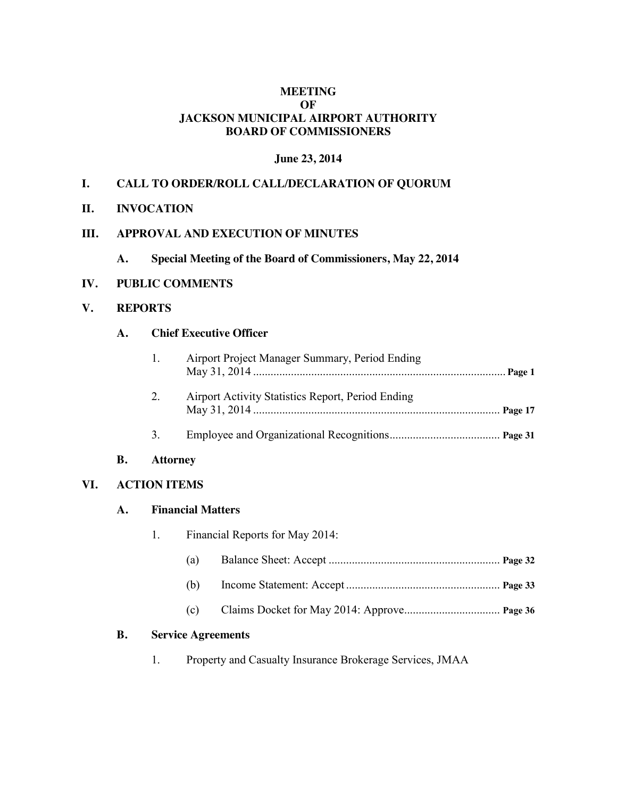## **MEETING OF JACKSON MUNICIPAL AIRPORT AUTHORITY BOARD OF COMMISSIONERS**

### **June 23, 2014**

## **I. CALL TO ORDER/ROLL CALL/DECLARATION OF QUORUM**

**II. INVOCATION**

#### **III. APPROVAL AND EXECUTION OF MINUTES**

**A. Special Meeting of the Board of Commissioners, May 22, 2014**

#### **IV. PUBLIC COMMENTS**

#### **V. REPORTS**

## **A. Chief Executive Officer**

| 1. | Airport Project Manager Summary, Period Ending    |  |
|----|---------------------------------------------------|--|
|    | Airport Activity Statistics Report, Period Ending |  |

3. Employee and Organizational Recognitions...................................... **Page 31**

#### **B. Attorney**

## **VI. ACTION ITEMS**

### **A. Financial Matters**

- 1. Financial Reports for May 2014:
	- (a) Balance Sheet: Accept ........................................................... **Page 32**
	- (b) Income Statement: Accept ..................................................... **Page 33**
	- (c) Claims Docket for May 2014: Approve................................. **Page 36**

## **B. Service Agreements**

1. Property and Casualty Insurance Brokerage Services, JMAA